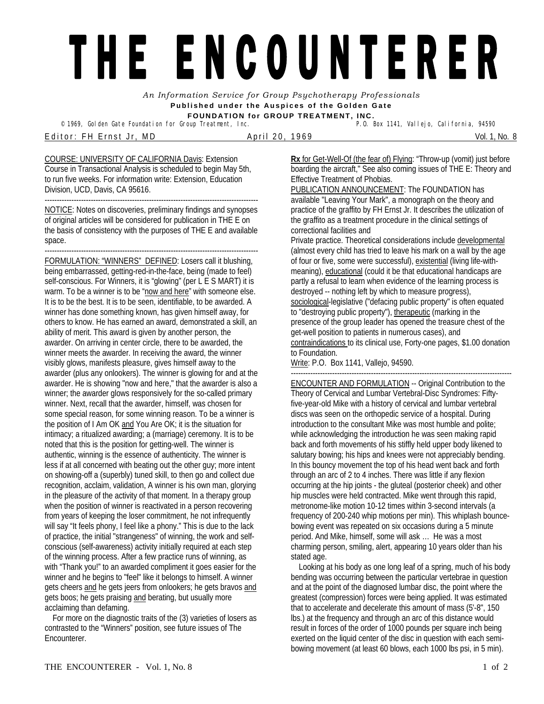## THE ENCOUNTERER

*An Information Service for Group Psychotherapy Professionals*  **Published under the Auspices of the Golden Gate FOUNDATION for GROUP TREATMENT, INC.** 

<sup>©</sup> 1969, Golden Gate Foundation for Group Treatment, Inc.

E d i t o r : F H E r n s t J r , M D A p r i l 2 0 , 1 9 6 9 Vol. 1, No. 8

COURSE: UNIVERSITY OF CALIFORNIA Davis: Extension Course in Transactional Analysis is scheduled to begin May 5th, to run five weeks. For information write: Extension, Education Division, UCD, Davis, CA 95616.

---------------------------------------------------------------------------------------- NOTICE: Notes on discoveries, preliminary findings and synopses of original articles will be considered for publication in THE E on the basis of consistency with the purposes of THE E and available space.

---------------------------------------------------------------------------------------- FORMULATION: "WINNERS" DEFINED: Losers call it blushing, being embarrassed, getting-red-in-the-face, being (made to feel) self-conscious. For Winners, it is "glowing" (per L E S MART) it is warm. To be a winner is to be "now and here" with someone else. It is to be the best. It is to be seen, identifiable, to be awarded. A winner has done something known, has given himself away, for others to know. He has earned an award, demonstrated a skill, an ability of merit. This award is given by another person, the awarder. On arriving in center circle, there to be awarded, the winner meets the awarder. In receiving the award, the winner visibly glows, manifests pleasure, gives himself away to the awarder (plus any onlookers). The winner is glowing for and at the awarder. He is showing "now and here," that the awarder is also a winner; the awarder glows responsively for the so-called primary winner. Next, recall that the awarder, himself, was chosen for some special reason, for some winning reason. To be a winner is the position of I Am OK and You Are OK; it is the situation for intimacy; a ritualized awarding; a (marriage) ceremony. It is to be noted that this is the position for getting-well. The winner is authentic, winning is the essence of authenticity. The winner is less if at all concerned with beating out the other guy; more intent on showing-off a (superbly) tuned skill, to then go and collect due recognition, acclaim, validation, A winner is his own man, glorying in the pleasure of the activity of that moment. In a therapy group when the position of winner is reactivated in a person recovering from years of keeping the loser commitment, he not infrequently will say "It feels phony, I feel like a phony." This is due to the lack of practice, the initial "strangeness" of winning, the work and selfconscious (self-awareness) activity initially required at each step of the winning process. After a few practice runs of winning, as with "Thank you!" to an awarded compliment it goes easier for the winner and he begins to "feel" like it belongs to himself. A winner gets cheers and he gets jeers from onlookers; he gets bravos and gets boos; he gets praising and berating, but usually more acclaiming than defaming.

 For more on the diagnostic traits of the (3) varieties of losers as contrasted to the "Winners" position, see future issues of The Encounterer.

**Rx** for Get-Well-Of (the fear of) Flying: "Throw-up (vomit) just before boarding the aircraft," See also coming issues of THE E: Theory and Effective Treatment of Phobias.

PUBLICATION ANNOUNCEMENT: The FOUNDATION has available "Leaving Your Mark", a monograph on the theory and practice of the graffito by FH Ernst Jr. It describes the utilization of the graffito as a treatment procedure in the clinical settings of correctional facilities and

Private practice. Theoretical considerations include developmental (almost every child has tried to leave his mark on a wall by the age of four or five, some were successful), existential (living life-withmeaning), educational (could it be that educational handicaps are partly a refusal to learn when evidence of the learning process is destroyed -- nothing left by which to measure progress), sociological-legislative ("defacing public property" is often equated to "destroying public property"), therapeutic (marking in the presence of the group leader has opened the treasure chest of the get-well position to patients in numerous cases), and contraindications to its clinical use, Forty-one pages, \$1.00 donation to Foundation.

Write: P.O. Box 1141, Vallejo, 94590.

ENCOUNTER AND FORMULATION -- Original Contribution to the Theory of Cervical and Lumbar Vertebral-Disc Syndromes: Fiftyfive-year-old Mike with a history of cervical and lumbar vertebral discs was seen on the orthopedic service of a hospital. During introduction to the consultant Mike was most humble and polite; while acknowledging the introduction he was seen making rapid back and forth movements of his stiffly held upper body likened to salutary bowing; his hips and knees were not appreciably bending. In this bouncy movement the top of his head went back and forth through an arc of 2 to 4 inches. There was little if any flexion occurring at the hip joints - the gluteal (posterior cheek) and other hip muscles were held contracted. Mike went through this rapid, metronome-like motion 10-12 times within 3-second intervals (a frequency of 200-240 whip motions per min). This whiplash bouncebowing event was repeated on six occasions during a 5 minute period. And Mike, himself, some will ask … He was a most charming person, smiling, alert, appearing 10 years older than his stated age.

 Looking at his body as one long leaf of a spring, much of his body bending was occurring between the particular vertebrae in question and at the point of the diagnosed lumbar disc, the point where the greatest (compression) forces were being applied. It was estimated that to accelerate and decelerate this amount of mass (5'-8", 150 lbs.) at the frequency and through an arc of this distance would result in forces of the order of 1000 pounds per square inch being exerted on the liquid center of the disc in question with each semibowing movement (at least 60 blows, each 1000 lbs psi, in 5 min).